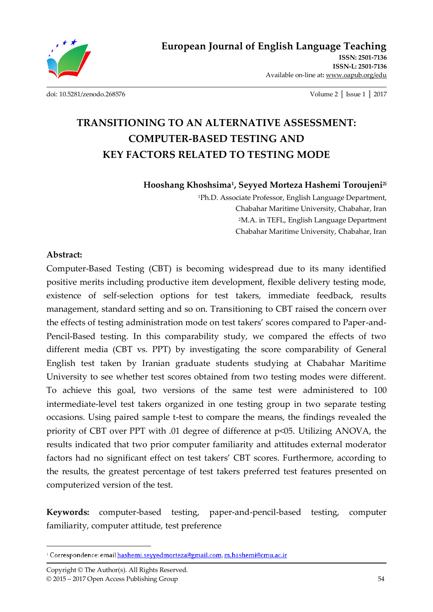

**ISSN: 2501-7136 ISSN-L: 2501-7136** Available on-line at**:** www.oapub.org/edu

[doi: 10.5281/zenodo.268576](http://dx.doi.org/10.5281/zenodo.268576) Volume 2 │ Issue 1 │ 2017

# **TRANSITIONING TO AN ALTERNATIVE ASSESSMENT: COMPUTER-BASED TESTING AND KEY FACTORS RELATED TO TESTING MODE**

**Hooshang Khoshsima<sup>1</sup> , Seyyed Morteza Hashemi Toroujeni2i**

<sup>1</sup>Ph.D. Associate Professor, English Language Department, Chabahar Maritime University, Chabahar, Iran <sup>2</sup>M.A. in TEFL, English Language Department Chabahar Maritime University, Chabahar, Iran

#### **Abstract:**

 $\overline{a}$ 

Computer-Based Testing (CBT) is becoming widespread due to its many identified positive merits including productive item development, flexible delivery testing mode, existence of self-selection options for test takers, immediate feedback, results management, standard setting and so on. Transitioning to CBT raised the concern over the effects of testing administration mode on test takers' scores compared to Paper-and-Pencil-Based testing. In this comparability study, we compared the effects of two different media (CBT vs. PPT) by investigating the score comparability of General English test taken by Iranian graduate students studying at Chabahar Maritime University to see whether test scores obtained from two testing modes were different. To achieve this goal, two versions of the same test were administered to 100 intermediate-level test takers organized in one testing group in two separate testing occasions. Using paired sample t-test to compare the means, the findings revealed the priority of CBT over PPT with .01 degree of difference at p<05. Utilizing ANOVA, the results indicated that two prior computer familiarity and attitudes external moderator factors had no significant effect on test takers' CBT scores. Furthermore, according to the results, the greatest percentage of test takers preferred test features presented on computerized version of the test.

**Keywords:** computer-based testing, paper-and-pencil-based testing, computer familiarity, computer attitude, test preference

<sup>&</sup>lt;sup>1</sup> Correspondence: email hashemi.seyyedmorteza@gmail.com, m.hashemi@cmu.ac.ir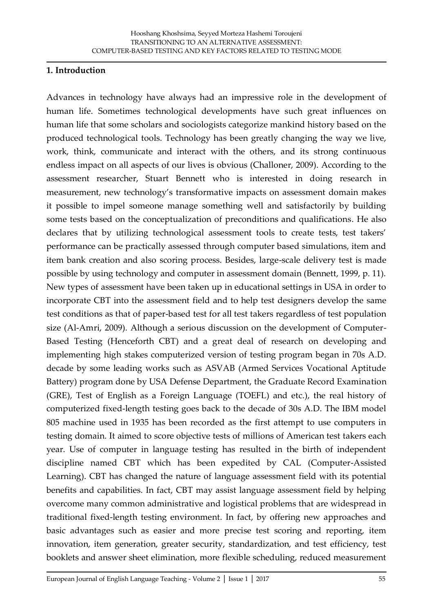#### **1. Introduction**

Advances in technology have always had an impressive role in the development of human life. Sometimes technological developments have such great influences on human life that some scholars and sociologists categorize mankind history based on the produced technological tools. Technology has been greatly changing the way we live, work, think, communicate and interact with the others, and its strong continuous endless impact on all aspects of our lives is obvious (Challoner, 2009). According to the assessment researcher, Stuart Bennett who is interested in doing research in measurement, new technology's transformative impacts on assessment domain makes it possible to impel someone manage something well and satisfactorily by building some tests based on the conceptualization of preconditions and qualifications. He also declares that by utilizing technological assessment tools to create tests, test takers' performance can be practically assessed through computer based simulations, item and item bank creation and also scoring process. Besides, large-scale delivery test is made possible by using technology and computer in assessment domain (Bennett, 1999, p. 11). New types of assessment have been taken up in educational settings in USA in order to incorporate CBT into the assessment field and to help test designers develop the same test conditions as that of paper-based test for all test takers regardless of test population size (Al-Amri, 2009). Although a serious discussion on the development of Computer-Based Testing (Henceforth CBT) and a great deal of research on developing and implementing high stakes computerized version of testing program began in 70s A.D. decade by some leading works such as ASVAB (Armed Services Vocational Aptitude Battery) program done by USA Defense Department, the Graduate Record Examination (GRE), Test of English as a Foreign Language (TOEFL) and etc.), the real history of computerized fixed-length testing goes back to the decade of 30s A.D. The IBM model 805 machine used in 1935 has been recorded as the first attempt to use computers in testing domain. It aimed to score objective tests of millions of American test takers each year. Use of computer in language testing has resulted in the birth of independent discipline named CBT which has been expedited by CAL (Computer-Assisted Learning). CBT has changed the nature of language assessment field with its potential benefits and capabilities. In fact, CBT may assist language assessment field by helping overcome many common administrative and logistical problems that are widespread in traditional fixed-length testing environment. In fact, by offering new approaches and basic advantages such as easier and more precise test scoring and reporting, item innovation, item generation, greater security, standardization, and test efficiency, test booklets and answer sheet elimination, more flexible scheduling, reduced measurement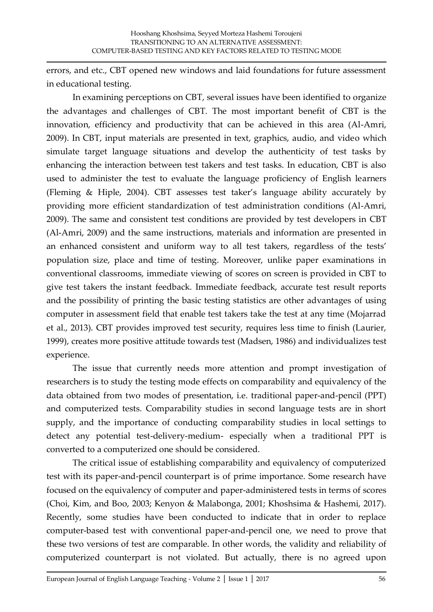errors, and etc., CBT opened new windows and laid foundations for future assessment in educational testing.

In examining perceptions on CBT, several issues have been identified to organize the advantages and challenges of CBT. The most important benefit of CBT is the innovation, efficiency and productivity that can be achieved in this area (Al-Amri, 2009). In CBT, input materials are presented in text, graphics, audio, and video which simulate target language situations and develop the authenticity of test tasks by enhancing the interaction between test takers and test tasks. In education, CBT is also used to administer the test to evaluate the language proficiency of English learners (Fleming & Hiple, 2004). CBT assesses test taker's language ability accurately by providing more efficient standardization of test administration conditions (Al-Amri, 2009). The same and consistent test conditions are provided by test developers in CBT (Al-Amri, 2009) and the same instructions, materials and information are presented in an enhanced consistent and uniform way to all test takers, regardless of the tests' population size, place and time of testing. Moreover, unlike paper examinations in conventional classrooms, immediate viewing of scores on screen is provided in CBT to give test takers the instant feedback. Immediate feedback, accurate test result reports and the possibility of printing the basic testing statistics are other advantages of using computer in assessment field that enable test takers take the test at any time (Mojarrad et al., 2013). CBT provides improved test security, requires less time to finish (Laurier, 1999), creates more positive attitude towards test (Madsen, 1986) and individualizes test experience.

The issue that currently needs more attention and prompt investigation of researchers is to study the testing mode effects on comparability and equivalency of the data obtained from two modes of presentation, i.e. traditional paper-and-pencil (PPT) and computerized tests. Comparability studies in second language tests are in short supply, and the importance of conducting comparability studies in local settings to detect any potential test-delivery-medium- especially when a traditional PPT is converted to a computerized one should be considered.

The critical issue of establishing comparability and equivalency of computerized test with its paper-and-pencil counterpart is of prime importance. Some research have focused on the equivalency of computer and paper-administered tests in terms of scores (Choi, Kim, and Boo, 2003; Kenyon & Malabonga, 2001; Khoshsima & Hashemi, 2017). Recently, some studies have been conducted to indicate that in order to replace computer-based test with conventional paper-and-pencil one, we need to prove that these two versions of test are comparable. In other words, the validity and reliability of computerized counterpart is not violated. But actually, there is no agreed upon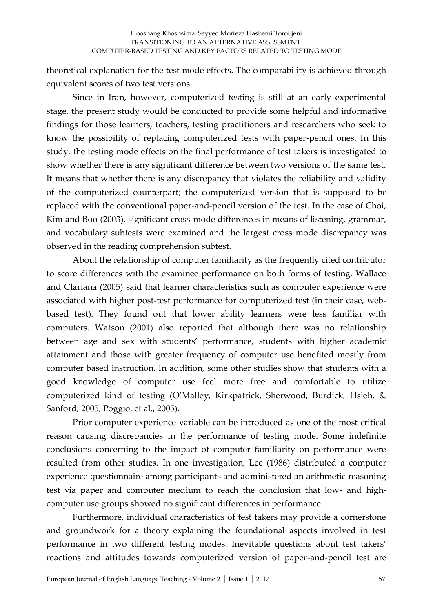theoretical explanation for the test mode effects. The comparability is achieved through equivalent scores of two test versions.

Since in Iran, however, computerized testing is still at an early experimental stage, the present study would be conducted to provide some helpful and informative findings for those learners, teachers, testing practitioners and researchers who seek to know the possibility of replacing computerized tests with paper-pencil ones. In this study, the testing mode effects on the final performance of test takers is investigated to show whether there is any significant difference between two versions of the same test. It means that whether there is any discrepancy that violates the reliability and validity of the computerized counterpart; the computerized version that is supposed to be replaced with the conventional paper-and-pencil version of the test. In the case of Choi, Kim and Boo (2003), significant cross-mode differences in means of listening, grammar, and vocabulary subtests were examined and the largest cross mode discrepancy was observed in the reading comprehension subtest.

About the relationship of computer familiarity as the frequently cited contributor to score differences with the examinee performance on both forms of testing, Wallace and Clariana (2005) said that learner characteristics such as computer experience were associated with higher post-test performance for computerized test (in their case, webbased test). They found out that lower ability learners were less familiar with computers. Watson (2001) also reported that although there was no relationship between age and sex with students' performance, students with higher academic attainment and those with greater frequency of computer use benefited mostly from computer based instruction. In addition, some other studies show that students with a good knowledge of computer use feel more free and comfortable to utilize computerized kind of testing (O'Malley, Kirkpatrick, Sherwood, Burdick, Hsieh, & Sanford, 2005; Poggio, et al., 2005).

Prior computer experience variable can be introduced as one of the most critical reason causing discrepancies in the performance of testing mode. Some indefinite conclusions concerning to the impact of computer familiarity on performance were resulted from other studies. In one investigation, Lee (1986) distributed a computer experience questionnaire among participants and administered an arithmetic reasoning test via paper and computer medium to reach the conclusion that low- and highcomputer use groups showed no significant differences in performance.

Furthermore, individual characteristics of test takers may provide a cornerstone and groundwork for a theory explaining the foundational aspects involved in test performance in two different testing modes. Inevitable questions about test takers' reactions and attitudes towards computerized version of paper-and-pencil test are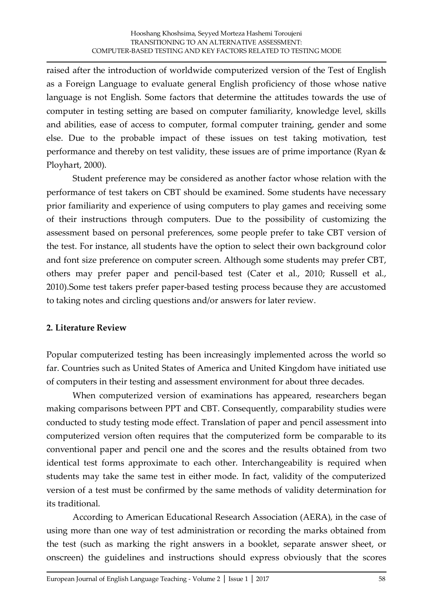raised after the introduction of worldwide computerized version of the Test of English as a Foreign Language to evaluate general English proficiency of those whose native language is not English. Some factors that determine the attitudes towards the use of computer in testing setting are based on computer familiarity, knowledge level, skills and abilities, ease of access to computer, formal computer training, gender and some else. Due to the probable impact of these issues on test taking motivation, test performance and thereby on test validity, these issues are of prime importance (Ryan & Ployhart, 2000).

Student preference may be considered as another factor whose relation with the performance of test takers on CBT should be examined. Some students have necessary prior familiarity and experience of using computers to play games and receiving some of their instructions through computers. Due to the possibility of customizing the assessment based on personal preferences, some people prefer to take CBT version of the test. For instance, all students have the option to select their own background color and font size preference on computer screen. Although some students may prefer CBT, others may prefer paper and pencil-based test (Cater et al., 2010; Russell et al., 2010).Some test takers prefer paper-based testing process because they are accustomed to taking notes and circling questions and/or answers for later review.

### **2. Literature Review**

Popular computerized testing has been increasingly implemented across the world so far. Countries such as United States of America and United Kingdom have initiated use of computers in their testing and assessment environment for about three decades.

When computerized version of examinations has appeared, researchers began making comparisons between PPT and CBT. Consequently, comparability studies were conducted to study testing mode effect. Translation of paper and pencil assessment into computerized version often requires that the computerized form be comparable to its conventional paper and pencil one and the scores and the results obtained from two identical test forms approximate to each other. Interchangeability is required when students may take the same test in either mode. In fact, validity of the computerized version of a test must be confirmed by the same methods of validity determination for its traditional.

According to American Educational Research Association (AERA), in the case of using more than one way of test administration or recording the marks obtained from the test (such as marking the right answers in a booklet, separate answer sheet, or onscreen) the guidelines and instructions should express obviously that the scores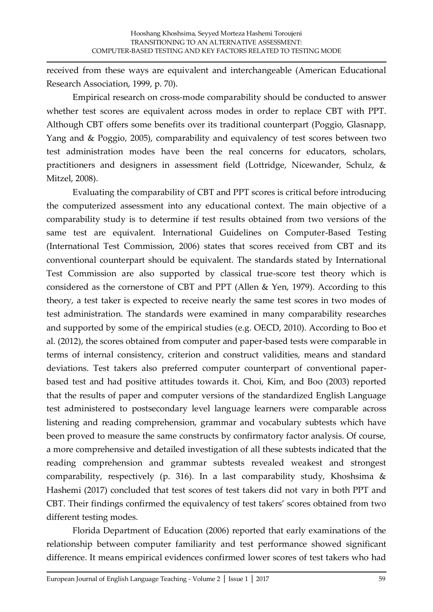received from these ways are equivalent and interchangeable (American Educational Research Association, 1999, p. 70).

Empirical research on cross-mode comparability should be conducted to answer whether test scores are equivalent across modes in order to replace CBT with PPT. Although CBT offers some benefits over its traditional counterpart (Poggio, Glasnapp, Yang and & Poggio, 2005), comparability and equivalency of test scores between two test administration modes have been the real concerns for educators, scholars, practitioners and designers in assessment field (Lottridge, Nicewander, Schulz, & Mitzel, 2008).

Evaluating the comparability of CBT and PPT scores is critical before introducing the computerized assessment into any educational context. The main objective of a comparability study is to determine if test results obtained from two versions of the same test are equivalent. International Guidelines on Computer-Based Testing (International Test Commission, 2006) states that scores received from CBT and its conventional counterpart should be equivalent. The standards stated by International Test Commission are also supported by classical true-score test theory which is considered as the cornerstone of CBT and PPT (Allen & Yen, 1979). According to this theory, a test taker is expected to receive nearly the same test scores in two modes of test administration. The standards were examined in many comparability researches and supported by some of the empirical studies (e.g. OECD, 2010). According to Boo et al. (2012), the scores obtained from computer and paper-based tests were comparable in terms of internal consistency, criterion and construct validities, means and standard deviations. Test takers also preferred computer counterpart of conventional paperbased test and had positive attitudes towards it. Choi, Kim, and Boo (2003) reported that the results of paper and computer versions of the standardized English Language test administered to postsecondary level language learners were comparable across listening and reading comprehension, grammar and vocabulary subtests which have been proved to measure the same constructs by confirmatory factor analysis. Of course, a more comprehensive and detailed investigation of all these subtests indicated that the reading comprehension and grammar subtests revealed weakest and strongest comparability, respectively (p. 316). In a last comparability study, Khoshsima & Hashemi (2017) concluded that test scores of test takers did not vary in both PPT and CBT. Their findings confirmed the equivalency of test takers' scores obtained from two different testing modes.

Florida Department of Education (2006) reported that early examinations of the relationship between computer familiarity and test performance showed significant difference. It means empirical evidences confirmed lower scores of test takers who had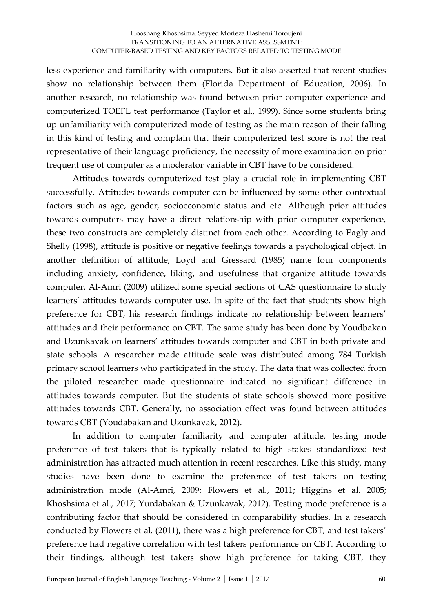less experience and familiarity with computers. But it also asserted that recent studies show no relationship between them (Florida Department of Education, 2006). In another research, no relationship was found between prior computer experience and computerized TOEFL test performance (Taylor et al., 1999). Since some students bring up unfamiliarity with computerized mode of testing as the main reason of their falling in this kind of testing and complain that their computerized test score is not the real representative of their language proficiency, the necessity of more examination on prior frequent use of computer as a moderator variable in CBT have to be considered.

Attitudes towards computerized test play a crucial role in implementing CBT successfully. Attitudes towards computer can be influenced by some other contextual factors such as age, gender, socioeconomic status and etc. Although prior attitudes towards computers may have a direct relationship with prior computer experience, these two constructs are completely distinct from each other. According to Eagly and Shelly (1998), attitude is positive or negative feelings towards a psychological object. In another definition of attitude, Loyd and Gressard (1985) name four components including anxiety, confidence, liking, and usefulness that organize attitude towards computer. Al-Amri (2009) utilized some special sections of CAS questionnaire to study learners' attitudes towards computer use. In spite of the fact that students show high preference for CBT, his research findings indicate no relationship between learners' attitudes and their performance on CBT. The same study has been done by Youdbakan and Uzunkavak on learners' attitudes towards computer and CBT in both private and state schools. A researcher made attitude scale was distributed among 784 Turkish primary school learners who participated in the study. The data that was collected from the piloted researcher made questionnaire indicated no significant difference in attitudes towards computer. But the students of state schools showed more positive attitudes towards CBT. Generally, no association effect was found between attitudes towards CBT (Youdabakan and Uzunkavak, 2012).

In addition to computer familiarity and computer attitude, testing mode preference of test takers that is typically related to high stakes standardized test administration has attracted much attention in recent researches. Like this study, many studies have been done to examine the preference of test takers on testing administration mode (Al-Amri, 2009; Flowers et al., 2011; Higgins et al. 2005; Khoshsima et al., 2017; Yurdabakan & Uzunkavak, 2012). Testing mode preference is a contributing factor that should be considered in comparability studies. In a research conducted by Flowers et al. (2011), there was a high preference for CBT, and test takers' preference had negative correlation with test takers performance on CBT. According to their findings, although test takers show high preference for taking CBT, they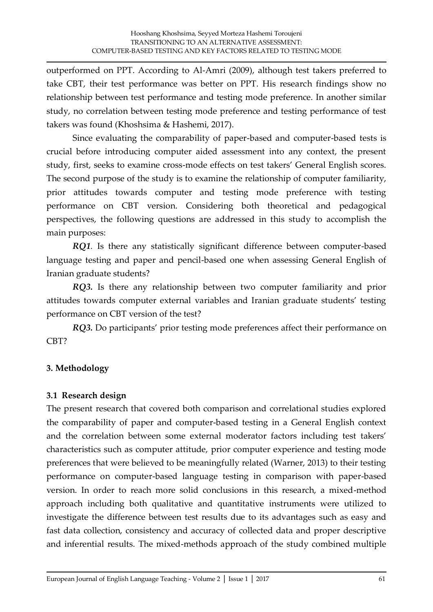outperformed on PPT. According to Al-Amri (2009), although test takers preferred to take CBT, their test performance was better on PPT. His research findings show no relationship between test performance and testing mode preference. In another similar study, no correlation between testing mode preference and testing performance of test takers was found (Khoshsima & Hashemi, 2017).

Since evaluating the comparability of paper-based and computer-based tests is crucial before introducing computer aided assessment into any context, the present study, first, seeks to examine cross-mode effects on test takers' General English scores. The second purpose of the study is to examine the relationship of computer familiarity, prior attitudes towards computer and testing mode preference with testing performance on CBT version. Considering both theoretical and pedagogical perspectives, the following questions are addressed in this study to accomplish the main purposes:

*RQ1.* Is there any statistically significant difference between computer-based language testing and paper and pencil-based one when assessing General English of Iranian graduate students?

*RQ3.* Is there any relationship between two computer familiarity and prior attitudes towards computer external variables and Iranian graduate students' testing performance on CBT version of the test?

*RQ3.* Do participants' prior testing mode preferences affect their performance on CBT?

## **3. Methodology**

## **3.1 Research design**

The present research that covered both comparison and correlational studies explored the comparability of paper and computer-based testing in a General English context and the correlation between some external moderator factors including test takers' characteristics such as computer attitude, prior computer experience and testing mode preferences that were believed to be meaningfully related (Warner, 2013) to their testing performance on computer-based language testing in comparison with paper-based version. In order to reach more solid conclusions in this research, a mixed-method approach including both qualitative and quantitative instruments were utilized to investigate the difference between test results due to its advantages such as easy and fast data collection, consistency and accuracy of collected data and proper descriptive and inferential results. The mixed-methods approach of the study combined multiple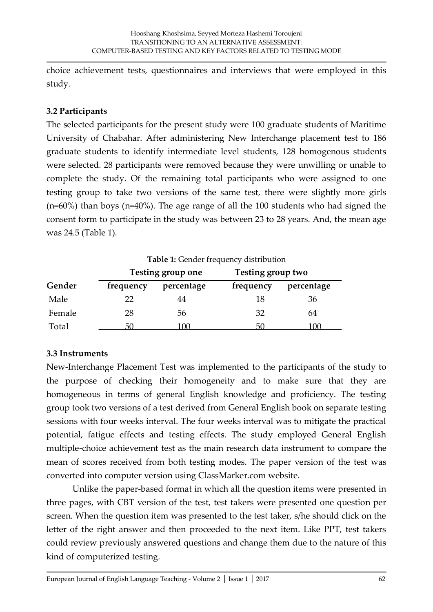choice achievement tests, questionnaires and interviews that were employed in this study.

## **3.2 Participants**

The selected participants for the present study were 100 graduate students of Maritime University of Chabahar. After administering New Interchange placement test to 186 graduate students to identify intermediate level students, 128 homogenous students were selected. 28 participants were removed because they were unwilling or unable to complete the study. Of the remaining total participants who were assigned to one testing group to take two versions of the same test, there were slightly more girls (n=60%) than boys (n=40%). The age range of all the 100 students who had signed the consent form to participate in the study was between 23 to 28 years. And, the mean age was 24.5 (Table 1).

|        |           | <b>Table 1:</b> Gender frequency distribution |                   |            |  |  |  |  |  |
|--------|-----------|-----------------------------------------------|-------------------|------------|--|--|--|--|--|
|        |           | Testing group one                             | Testing group two |            |  |  |  |  |  |
| Gender | frequency | percentage                                    | frequency         | percentage |  |  |  |  |  |
| Male   | 22        | 44                                            | 18                | 36         |  |  |  |  |  |
| Female | 28        | 56                                            | 32                | 64         |  |  |  |  |  |
| Total  | וור       | 100                                           | 50                | 100        |  |  |  |  |  |

## **3.3 Instruments**

New-Interchange Placement Test was implemented to the participants of the study to the purpose of checking their homogeneity and to make sure that they are homogeneous in terms of general English knowledge and proficiency. The testing group took two versions of a test derived from General English book on separate testing sessions with four weeks interval. The four weeks interval was to mitigate the practical potential, fatigue effects and testing effects. The study employed General English multiple-choice achievement test as the main research data instrument to compare the mean of scores received from both testing modes. The paper version of the test was converted into computer version using ClassMarker.com website.

Unlike the paper-based format in which all the question items were presented in three pages, with CBT version of the test, test takers were presented one question per screen. When the question item was presented to the test taker, s/he should click on the letter of the right answer and then proceeded to the next item. Like PPT, test takers could review previously answered questions and change them due to the nature of this kind of computerized testing.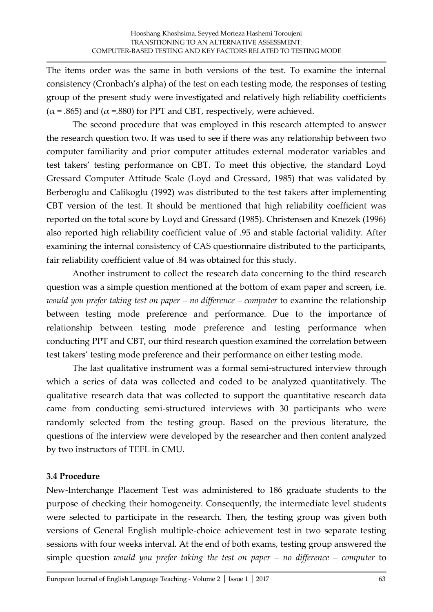The items order was the same in both versions of the test. To examine the internal consistency (Cronbach's alpha) of the test on each testing mode, the responses of testing group of the present study were investigated and relatively high reliability coefficients  $(\alpha = .865)$  and  $(\alpha = .880)$  for PPT and CBT, respectively, were achieved.

The second procedure that was employed in this research attempted to answer the research question two. It was used to see if there was any relationship between two computer familiarity and prior computer attitudes external moderator variables and test takers' testing performance on CBT. To meet this objective, the standard Loyd Gressard Computer Attitude Scale (Loyd and Gressard, 1985) that was validated by Berberoglu and Calikoglu (1992) was distributed to the test takers after implementing CBT version of the test. It should be mentioned that high reliability coefficient was reported on the total score by Loyd and Gressard (1985). Christensen and Knezek (1996) also reported high reliability coefficient value of .95 and stable factorial validity. After examining the internal consistency of CAS questionnaire distributed to the participants, fair reliability coefficient value of .84 was obtained for this study.

Another instrument to collect the research data concerning to the third research question was a simple question mentioned at the bottom of exam paper and screen, i.e. *would you prefer taking test on paper – no difference – computer* to examine the relationship between testing mode preference and performance. Due to the importance of relationship between testing mode preference and testing performance when conducting PPT and CBT, our third research question examined the correlation between test takers' testing mode preference and their performance on either testing mode.

The last qualitative instrument was a formal semi-structured interview through which a series of data was collected and coded to be analyzed quantitatively. The qualitative research data that was collected to support the quantitative research data came from conducting semi-structured interviews with 30 participants who were randomly selected from the testing group. Based on the previous literature, the questions of the interview were developed by the researcher and then content analyzed by two instructors of TEFL in CMU.

### **3.4 Procedure**

New-Interchange Placement Test was administered to 186 graduate students to the purpose of checking their homogeneity. Consequently, the intermediate level students were selected to participate in the research. Then, the testing group was given both versions of General English multiple-choice achievement test in two separate testing sessions with four weeks interval. At the end of both exams, testing group answered the simple question *would you prefer taking the test on paper – no difference – computer* to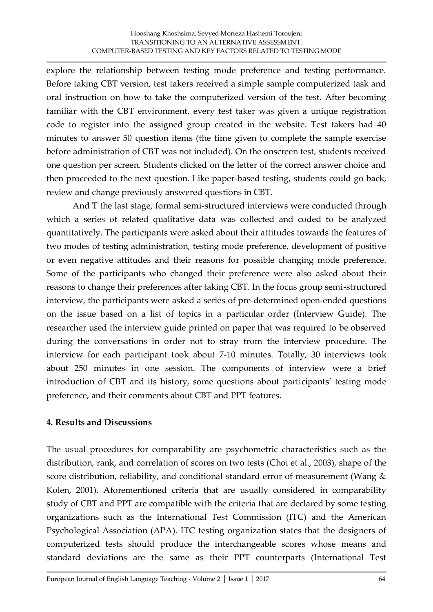explore the relationship between testing mode preference and testing performance. Before taking CBT version, test takers received a simple sample computerized task and oral instruction on how to take the computerized version of the test. After becoming familiar with the CBT environment, every test taker was given a unique registration code to register into the assigned group created in the website. Test takers had 40 minutes to answer 50 question items (the time given to complete the sample exercise before administration of CBT was not included). On the onscreen test, students received one question per screen. Students clicked on the letter of the correct answer choice and then proceeded to the next question. Like paper-based testing, students could go back, review and change previously answered questions in CBT.

And T the last stage, formal semi-structured interviews were conducted through which a series of related qualitative data was collected and coded to be analyzed quantitatively. The participants were asked about their attitudes towards the features of two modes of testing administration, testing mode preference, development of positive or even negative attitudes and their reasons for possible changing mode preference. Some of the participants who changed their preference were also asked about their reasons to change their preferences after taking CBT. In the focus group semi-structured interview, the participants were asked a series of pre-determined open-ended questions on the issue based on a list of topics in a particular order (Interview Guide). The researcher used the interview guide printed on paper that was required to be observed during the conversations in order not to stray from the interview procedure. The interview for each participant took about 7-10 minutes. Totally, 30 interviews took about 250 minutes in one session. The components of interview were a brief introduction of CBT and its history, some questions about participants' testing mode preference, and their comments about CBT and PPT features.

### **4. Results and Discussions**

The usual procedures for comparability are psychometric characteristics such as the distribution, rank, and correlation of scores on two tests (Choi et al., 2003), shape of the score distribution, reliability, and conditional standard error of measurement (Wang & Kolen, 2001). Aforementioned criteria that are usually considered in comparability study of CBT and PPT are compatible with the criteria that are declared by some testing organizations such as the International Test Commission (ITC) and the American Psychological Association (APA). ITC testing organization states that the designers of computerized tests should produce the interchangeable scores whose means and standard deviations are the same as their PPT counterparts (International Test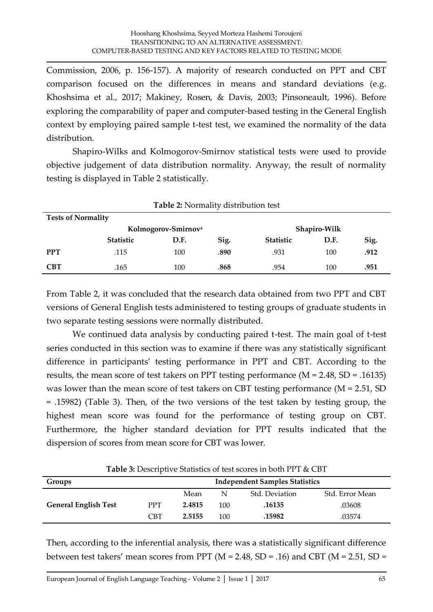Commission, 2006, p. 156-157). A majority of research conducted on PPT and CBT comparison focused on the differences in means and standard deviations (e.g. Khoshsima et al., 2017; Makiney, Rosen, & Davis, 2003; Pinsoneault, 1996). Before exploring the comparability of paper and computer-based testing in the General English context by employing paired sample t-test test, we examined the normality of the data distribution.

Shapiro-Wilks and Kolmogorov-Smirnov statistical tests were used to provide objective judgement of data distribution normality. Anyway, the result of normality testing is displayed in Table 2 statistically.

| <b>Table 2:</b> Normality distribution test     |                  |      |      |                  |      |      |  |  |
|-------------------------------------------------|------------------|------|------|------------------|------|------|--|--|
| <b>Tests of Normality</b>                       |                  |      |      |                  |      |      |  |  |
| Kolmogorov-Smirnov <sup>a</sup><br>Shapiro-Wilk |                  |      |      |                  |      |      |  |  |
|                                                 | <b>Statistic</b> | D.F. | Sig. | <b>Statistic</b> | D.F. | Sig. |  |  |
| <b>PPT</b>                                      | .115             | 100  | .890 | .931             | 100  | .912 |  |  |
| <b>CBT</b>                                      | .165             | 100  | .868 | .954             | 100  | .951 |  |  |

From Table 2, it was concluded that the research data obtained from two PPT and CBT versions of General English tests administered to testing groups of graduate students in two separate testing sessions were normally distributed.

We continued data analysis by conducting paired t-test. The main goal of t-test series conducted in this section was to examine if there was any statistically significant difference in participants' testing performance in PPT and CBT. According to the results, the mean score of test takers on PPT testing performance (M = 2.48, SD = .16135) was lower than the mean score of test takers on CBT testing performance (M = 2.51, SD = .15982) (Table 3). Then, of the two versions of the test taken by testing group, the highest mean score was found for the performance of testing group on CBT. Furthermore, the higher standard deviation for PPT results indicated that the dispersion of scores from mean score for CBT was lower.

**Table 3:** Descriptive Statistics of test scores in both PPT & CBT

| <b>Independent Samples Statistics</b><br>Groups |            |        |     |                |                 |  |
|-------------------------------------------------|------------|--------|-----|----------------|-----------------|--|
|                                                 |            | Mean   | N   | Std. Deviation | Std. Error Mean |  |
| <b>General English Test</b>                     | <b>PPT</b> | 2.4815 | 100 | .16135         | .03608          |  |
|                                                 | <b>CBT</b> | 2.5155 | 100 | .15982         | .03574          |  |

Then, according to the inferential analysis, there was a statistically significant difference between test takers' mean scores from PPT ( $M = 2.48$ , SD = .16) and CBT ( $M = 2.51$ , SD =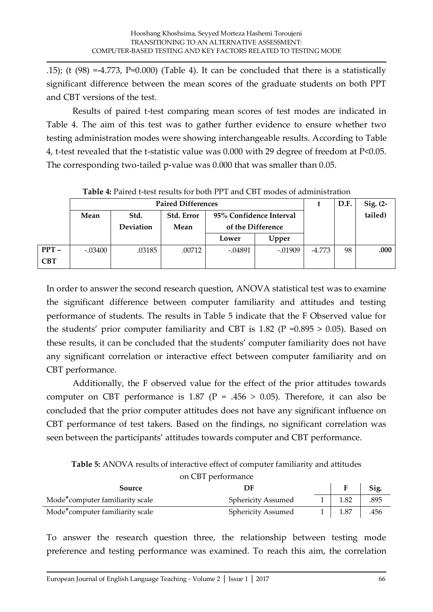.15); (t  $(98) = -4.773$ , P=0.000) (Table 4). It can be concluded that there is a statistically significant difference between the mean scores of the graduate students on both PPT and CBT versions of the test.

Results of paired t-test comparing mean scores of test modes are indicated in Table 4. The aim of this test was to gather further evidence to ensure whether two testing administration modes were showing interchangeable results. According to Table 4, t-test revealed that the t-statistic value was 0.000 with 29 degree of freedom at P<0.05. The corresponding two-tailed p-value was 0.000 that was smaller than 0.05.

|            | <b>Paired Differences</b> |           |            |                         |           |        | D.F.    | $Sig. (2-$ |
|------------|---------------------------|-----------|------------|-------------------------|-----------|--------|---------|------------|
|            | Mean                      | Std.      | Std. Error | 95% Confidence Interval |           |        | tailed) |            |
|            |                           | Deviation | Mean       | of the Difference       |           |        |         |            |
|            |                           |           |            | Lower                   | Upper     |        |         |            |
| $PPT-$     | -.03400                   | .03185    | .00712     | $-.04891$               | $-.01909$ | -4.773 | 98      | .000       |
| <b>CBT</b> |                           |           |            |                         |           |        |         |            |

**Table 4:** Paired t-test results for both PPT and CBT modes of administration

In order to answer the second research question, ANOVA statistical test was to examine the significant difference between computer familiarity and attitudes and testing performance of students. The results in Table 5 indicate that the F Observed value for the students' prior computer familiarity and CBT is 1.82 ( $P = 0.895 > 0.05$ ). Based on these results, it can be concluded that the students' computer familiarity does not have any significant correlation or interactive effect between computer familiarity and on CBT performance.

Additionally, the F observed value for the effect of the prior attitudes towards computer on CBT performance is 1.87 (P = .456 > 0.05). Therefore, it can also be concluded that the prior computer attitudes does not have any significant influence on CBT performance of test takers. Based on the findings, no significant correlation was seen between the participants' attitudes towards computer and CBT performance.

**Table 5:** ANOVA results of interactive effect of computer familiarity and attitudes

| on CBT performance                           |                           |  |             |      |  |  |  |  |
|----------------------------------------------|---------------------------|--|-------------|------|--|--|--|--|
| Source                                       | DF                        |  |             | Sig. |  |  |  |  |
| Mode <sup>*</sup> computer familiarity scale | <b>Sphericity Assumed</b> |  | 1.82        | .895 |  |  |  |  |
| Mode <sup>*</sup> computer familiarity scale | <b>Sphericity Assumed</b> |  | $1 \t 1.87$ | .456 |  |  |  |  |

To answer the research question three, the relationship between testing mode preference and testing performance was examined. To reach this aim, the correlation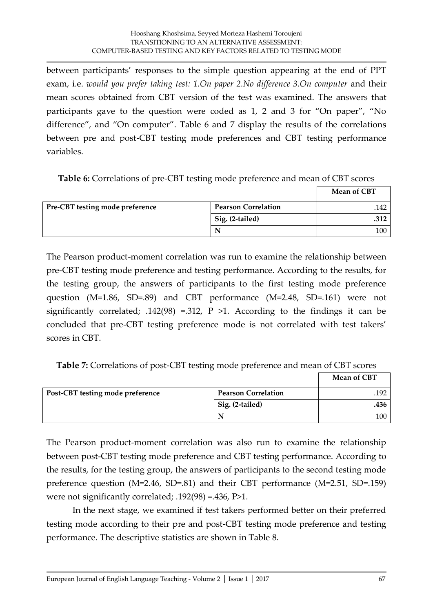between participants' responses to the simple question appearing at the end of PPT exam, i.e. *would you prefer taking test: 1.On paper 2.No difference 3.On computer* and their mean scores obtained from CBT version of the test was examined. The answers that participants gave to the question were coded as 1, 2 and 3 for 'On paper', 'No difference', and 'On computer'. Table 6 and 7 display the results of the correlations between pre and post-CBT testing mode preferences and CBT testing performance variables.

**Table 6:** Correlations of pre-CBT testing mode preference and mean of CBT scores

|                                 |                            | <b>Mean of CBT</b> |
|---------------------------------|----------------------------|--------------------|
| Pre-CBT testing mode preference | <b>Pearson Correlation</b> | .142               |
|                                 | Sig. (2-tailed)            | .312               |
|                                 | N                          | 100                |

The Pearson product-moment correlation was run to examine the relationship between pre-CBT testing mode preference and testing performance. According to the results, for the testing group, the answers of participants to the first testing mode preference question (M=1.86, SD=.89) and CBT performance (M=2.48, SD=.161) were not significantly correlated; .142(98) =.312,  $P >1$ . According to the findings it can be concluded that pre-CBT testing preference mode is not correlated with test takers' scores in CBT.

**Table 7:** Correlations of post-CBT testing mode preference and mean of CBT scores

|                                  |                            | <b>Mean of CBT</b> |
|----------------------------------|----------------------------|--------------------|
| Post-CBT testing mode preference | <b>Pearson Correlation</b> | .192               |
|                                  | Sig. (2-tailed)            | .436               |
|                                  |                            | 100                |

The Pearson product-moment correlation was also run to examine the relationship between post-CBT testing mode preference and CBT testing performance. According to the results, for the testing group, the answers of participants to the second testing mode preference question (M=2.46, SD=.81) and their CBT performance (M=2.51, SD=.159) were not significantly correlated; .192(98) =.436, P>1.

In the next stage, we examined if test takers performed better on their preferred testing mode according to their pre and post-CBT testing mode preference and testing performance. The descriptive statistics are shown in Table 8.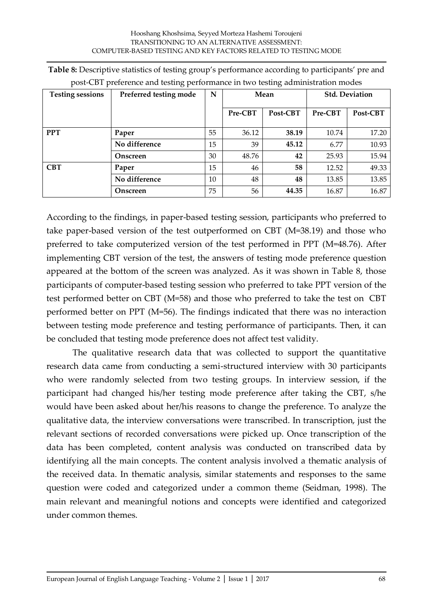| <b>Testing sessions</b> | Preferred testing mode | N  | Mean    |          | <b>Std. Deviation</b> |          |  |
|-------------------------|------------------------|----|---------|----------|-----------------------|----------|--|
|                         |                        |    | Pre-CBT | Post-CBT | Pre-CBT               | Post-CBT |  |
| <b>PPT</b>              | Paper                  | 55 | 36.12   | 38.19    | 10.74                 | 17.20    |  |
|                         | No difference          | 15 | 39      | 45.12    | 6.77                  | 10.93    |  |
|                         | Onscreen               | 30 | 48.76   | 42       | 25.93                 | 15.94    |  |
| <b>CBT</b>              | Paper                  | 15 | 46      | 58       | 12.52                 | 49.33    |  |
|                         | No difference          | 10 | 48      | 48       | 13.85                 | 13.85    |  |
|                         | Onscreen               | 75 | 56      | 44.35    | 16.87                 | 16.87    |  |

| Table 8: Descriptive statistics of testing group's performance according to participants' pre and |  |  |  |
|---------------------------------------------------------------------------------------------------|--|--|--|
| post-CBT preference and testing performance in two testing administration modes                   |  |  |  |

According to the findings, in paper-based testing session, participants who preferred to take paper-based version of the test outperformed on CBT (M=38.19) and those who preferred to take computerized version of the test performed in PPT (M=48.76). After implementing CBT version of the test, the answers of testing mode preference question appeared at the bottom of the screen was analyzed. As it was shown in Table 8, those participants of computer-based testing session who preferred to take PPT version of the test performed better on CBT (M=58) and those who preferred to take the test on CBT performed better on PPT (M=56). The findings indicated that there was no interaction between testing mode preference and testing performance of participants. Then, it can be concluded that testing mode preference does not affect test validity.

The qualitative research data that was collected to support the quantitative research data came from conducting a semi-structured interview with 30 participants who were randomly selected from two testing groups. In interview session, if the participant had changed his/her testing mode preference after taking the CBT, s/he would have been asked about her/his reasons to change the preference. To analyze the qualitative data, the interview conversations were transcribed. In transcription, just the relevant sections of recorded conversations were picked up. Once transcription of the data has been completed, content analysis was conducted on transcribed data by identifying all the main concepts. The content analysis involved a thematic analysis of the received data. In thematic analysis, similar statements and responses to the same question were coded and categorized under a common theme (Seidman, 1998). The main relevant and meaningful notions and concepts were identified and categorized under common themes.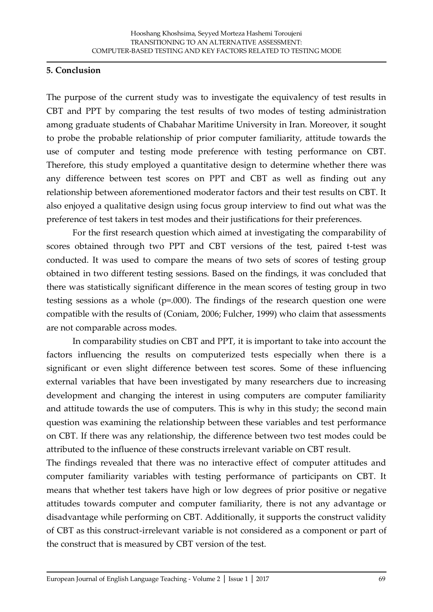#### **5. Conclusion**

The purpose of the current study was to investigate the equivalency of test results in CBT and PPT by comparing the test results of two modes of testing administration among graduate students of Chabahar Maritime University in Iran. Moreover, it sought to probe the probable relationship of prior computer familiarity, attitude towards the use of computer and testing mode preference with testing performance on CBT. Therefore, this study employed a quantitative design to determine whether there was any difference between test scores on PPT and CBT as well as finding out any relationship between aforementioned moderator factors and their test results on CBT. It also enjoyed a qualitative design using focus group interview to find out what was the preference of test takers in test modes and their justifications for their preferences.

For the first research question which aimed at investigating the comparability of scores obtained through two PPT and CBT versions of the test, paired t-test was conducted. It was used to compare the means of two sets of scores of testing group obtained in two different testing sessions. Based on the findings, it was concluded that there was statistically significant difference in the mean scores of testing group in two testing sessions as a whole  $(p=.000)$ . The findings of the research question one were compatible with the results of (Coniam, 2006; Fulcher, 1999) who claim that assessments are not comparable across modes.

In comparability studies on CBT and PPT, it is important to take into account the factors influencing the results on computerized tests especially when there is a significant or even slight difference between test scores. Some of these influencing external variables that have been investigated by many researchers due to increasing development and changing the interest in using computers are computer familiarity and attitude towards the use of computers. This is why in this study; the second main question was examining the relationship between these variables and test performance on CBT. If there was any relationship, the difference between two test modes could be attributed to the influence of these constructs irrelevant variable on CBT result.

The findings revealed that there was no interactive effect of computer attitudes and computer familiarity variables with testing performance of participants on CBT. It means that whether test takers have high or low degrees of prior positive or negative attitudes towards computer and computer familiarity, there is not any advantage or disadvantage while performing on CBT. Additionally, it supports the construct validity of CBT as this construct-irrelevant variable is not considered as a component or part of the construct that is measured by CBT version of the test.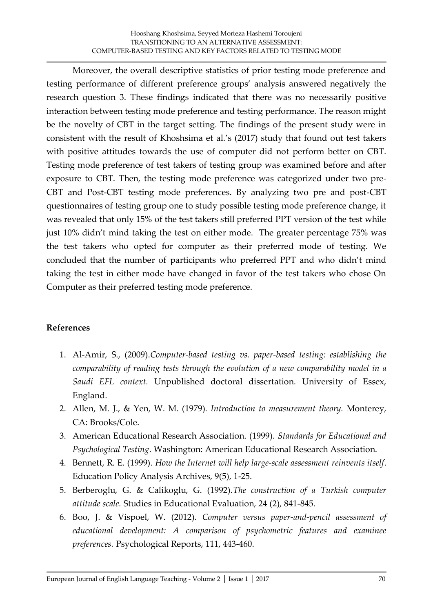Moreover, the overall descriptive statistics of prior testing mode preference and testing performance of different preference groups' analysis answered negatively the research question 3. These findings indicated that there was no necessarily positive interaction between testing mode preference and testing performance. The reason might be the novelty of CBT in the target setting. The findings of the present study were in consistent with the result of Khoshsima et al.'s (2017) study that found out test takers with positive attitudes towards the use of computer did not perform better on CBT. Testing mode preference of test takers of testing group was examined before and after exposure to CBT. Then, the testing mode preference was categorized under two pre-CBT and Post-CBT testing mode preferences. By analyzing two pre and post-CBT questionnaires of testing group one to study possible testing mode preference change, it was revealed that only 15% of the test takers still preferred PPT version of the test while just 10% didn't mind taking the test on either mode. The greater percentage 75% was the test takers who opted for computer as their preferred mode of testing. We concluded that the number of participants who preferred PPT and who didn't mind taking the test in either mode have changed in favor of the test takers who chose On Computer as their preferred testing mode preference.

## **References**

- 1. Al-Amir, S., (2009).*Computer-based testing vs. paper-based testing: establishing the comparability of reading tests through the evolution of a new comparability model in a Saudi EFL context.* Unpublished doctoral dissertation. University of Essex, England.
- 2. Allen, M. J., & Yen, W. M. (1979). *Introduction to measurement theory.* Monterey, CA: Brooks/Cole.
- 3. American Educational Research Association. (1999). *Standards for Educational and Psychological Testing*. Washington: American Educational Research Association.
- 4. Bennett, R. E. (1999). *How the Internet will help large-scale assessment reinvents itself*. Education Policy Analysis Archives, 9(5), 1-25.
- 5. Berberoglu, G. & Calikoglu, G. (1992).*The construction of a Turkish computer attitude scale.* Studies in Educational Evaluation, 24 (2), 841-845.
- 6. Boo, J. & Vispoel, W. (2012). *Computer versus paper-and-pencil assessment of educational development: A comparison of psychometric features and examinee preferences.* Psychological Reports, 111, 443-460.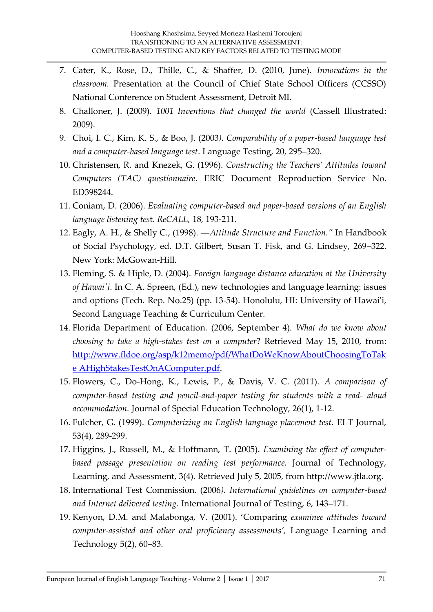- 7. Cater, K., Rose, D., Thille, C., & Shaffer, D. (2010, June). *Innovations in the classroom.* Presentation at the Council of Chief State School Officers (CCSSO) National Conference on Student Assessment, Detroit MI.
- 8. Challoner, J. (2009). *1001 Inventions that changed the world* (Cassell Illustrated: 2009).
- 9. Choi, I. C., Kim, K. S., & Boo, J. (2003*). Comparability of a paper-based language test and a computer-based language test*. Language Testing, 20, 295–320.
- 10. Christensen, R. and Knezek, G. (1996). *Constructing the Teachers' Attitudes toward Computers (TAC) questionnaire*. ERIC Document Reproduction Service No. ED398244.
- 11. Coniam, D. (2006). *Evaluating computer-based and paper-based versions of an English language listening tes*t. *ReCALL,* 18, 193-211.
- 12. Eagly, A. H., & Shelly C., (1998). ―*Attitude Structure and Function."* In Handbook of Social Psychology, ed. D.T. Gilbert, Susan T. Fisk, and G. Lindsey, 269–322. New York: McGowan-Hill.
- 13. Fleming, S. & Hiple, D. (2004). *Foreign language distance education at the University of Hawai'i*. In C. A. Spreen, (Ed.), new technologies and language learning: issues and option*s* (Tech. Rep. No.25) (pp. 13-54). Honolulu, HI: University of Hawai'i, Second Language Teaching & Curriculum Center.
- 14. Florida Department of Education. (2006, September 4). *What do we know about choosing to take a high-stakes test on a computer*? Retrieved May 15, 2010, from: [http://www.fldoe.org/asp/k12memo/pdf/WhatDoWeKnowAboutChoosingToTak](http://www.fldoe.org/asp/k12memo/pdf/WhatDoWeKnowAboutChoosingToTake%20AHighStakesTestOnAComputer.pdf) [e AHighStakesTestOnAComputer.pdf.](http://www.fldoe.org/asp/k12memo/pdf/WhatDoWeKnowAboutChoosingToTake%20AHighStakesTestOnAComputer.pdf)
- 15. Flowers, C., Do-Hong, K., Lewis, P., & Davis, V. C. (2011). *A comparison of computer-based testing and pencil-and-paper testing for students with a read- aloud accommodation.* Journal of Special Education Technology, 26(1), 1-12.
- 16. Fulcher, G. (1999). *Computerizing an English language placement test*. ELT Journal, 53(4), 289-299.
- 17. Higgins, J., Russell, M., & Hoffmann, T. (2005). *Examining the effect of computerbased passage presentation on reading test performance.* Journal of Technology, Learning, and Assessment, 3(4). Retrieved July 5, 2005, from http://www.jtla.org.
- 18. International Test Commission. (2006*). International guidelines on computer-based and Internet delivered testing.* International Journal of Testing, 6, 143–171.
- 19. Kenyon, D.M. and Malabonga, V. (2001). 'Comparing *examinee attitudes toward computer-assisted and other oral proficiency assessments',* Language Learning and Technology 5(2), 60–83.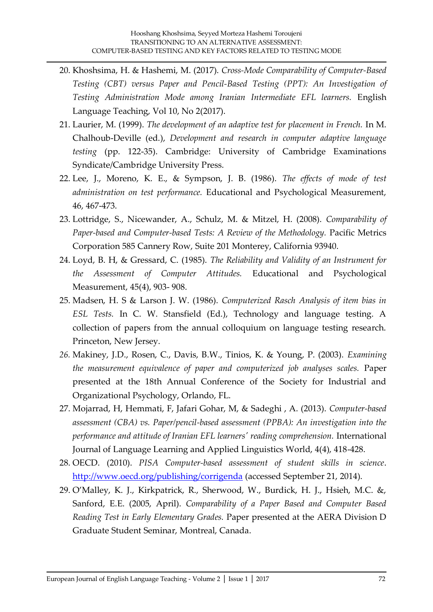- 20. Khoshsima, H. & Hashemi, M. (2017). *Cross-Mode Comparability of Computer-Based Testing (CBT) versus Paper and Pencil-Based Testing (PPT): An Investigation of Testing Administration Mode among Iranian Intermediate EFL learners.* English Language Teaching, Vol 10, No 2(2017).
- 21. Laurier, M. (1999). *The development of an adaptive test for placement in French.* In M. Chalhoub-Deville (ed.), *Development and research in computer adaptive language testing* (pp. 122-35). Cambridge: University of Cambridge Examinations Syndicate/Cambridge University Press.
- 22. Lee, J., Moreno, K. E., & Sympson, J. B. (1986). *The effects of mode of test administration on test performance.* Educational and Psychological Measurement, 46, 467-473.
- 23. Lottridge, S., Nicewander, A., Schulz, M. & Mitzel, H. (2008). *Comparability of Paper-based and Computer-based Tests: A Review of the Methodology.* Pacific Metrics Corporation 585 Cannery Row, Suite 201 Monterey, California 93940.
- 24. Loyd, B. H, & Gressard, C. (1985). *The Reliability and Validity of an Instrument for the Assessment of Computer Attitudes.* Educational and Psychological Measurement, 45(4), 903- 908.
- 25. Madsen, H. S & Larson J. W. (1986). *Computerized Rasch Analysis of item bias in ESL Tests.* In C. W. Stansfield (Ed.), Technology and language testing. A collection of papers from the annual colloquium on language testing research. Princeton, New Jersey.
- *26.* Makiney, J.D., Rosen, C., Davis, B.W., Tinios, K. & Young, P. (2003). *Examining the measurement equivalence of paper and computerized job analyses scales.* Paper presented at the 18th Annual Conference of the Society for Industrial and Organizational Psychology, Orlando, FL.
- 27. Mojarrad, H, Hemmati, F, Jafari Gohar, M, & Sadeghi , A. (2013). *Computer-based assessment (CBA) vs. Paper/pencil-based assessment (PPBA): An investigation into the performance and attitude of Iranian EFL learners' reading comprehension.* International Journal of Language Learning and Applied Linguistics World, 4(4), 418-428.
- 28. OECD. (2010). *PISA Computer-based assessment of student skills in science*. <http://www.oecd.org/publishing/corrigenda> (accessed September 21, 2014).
- 29. O'Malley, K. J., Kirkpatrick, R., Sherwood, W., Burdick, H. J., Hsieh, M.C. &, Sanford, E.E. (2005, April). *Comparability of a Paper Based and Computer Based Reading Test in Early Elementary Grades.* Paper presented at the AERA Division D Graduate Student Seminar, Montreal, Canada.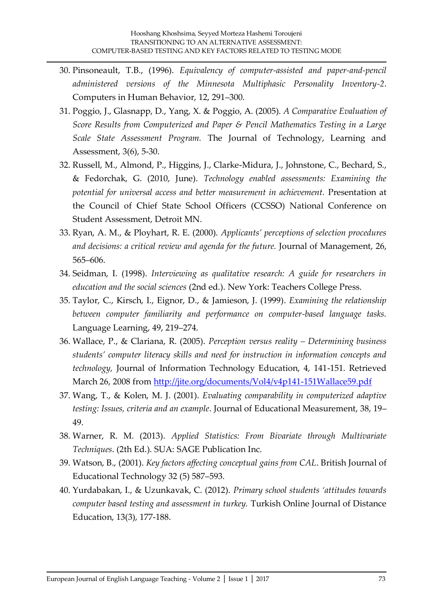- 30. Pinsoneault, T.B., (1996). *Equivalency of computer-assisted and paper-and-pencil administered versions of the Minnesota Multiphasic Personality Inventory-2*. Computers in Human Behavior, 12, 291–300.
- 31. Poggio, J., Glasnapp, D., Yang, X. & Poggio, A. (2005). *A Comparative Evaluation of Score Results from Computerized and Paper & Pencil Mathematics Testing in a Large Scale State Assessment Program.* The Journal of Technology, Learning and Assessment, 3(6), 5-30.
- 32. Russell, M., Almond, P., Higgins, J., Clarke-Midura, J., Johnstone, C., Bechard, S., & Fedorchak, G. (2010, June). *Technology enabled assessments: Examining the potential for universal access and better measurement in achievement.* Presentation at the Council of Chief State School Officers (CCSSO) National Conference on Student Assessment, Detroit MN.
- 33. Ryan, A. M., & Ployhart, R. E. (2000). *Applicants' perceptions of selection procedures and decisions: a critical review and agenda for the future.* Journal of Management, 26, 565–606.
- 34. Seidman, I. (1998). *Interviewing as qualitative research: A guide for researchers in education and the social sciences* (2nd ed.). New York: Teachers College Press.
- 35. Taylor, C., Kirsch, I., Eignor, D., & Jamieson, J. (1999). *Examining the relationship between computer familiarity and performance on computer-based language tasks.* Language Learning, 49, 219–274.
- 36. Wallace, P., & Clariana, R. (2005). *Perception versus reality – Determining business students' computer literacy skills and need for instruction in information concepts and technology,* Journal of Information Technology Education, 4, 141-151. Retrieved March 26, 2008 from<http://jite.org/documents/Vol4/v4p141-151Wallace59.pdf>
- 37. Wang, T., & Kolen, M. J. (2001). *Evaluating comparability in computerized adaptive testing: Issues, criteria and an example*. Journal of Educational Measurement, 38, 19– 49.
- 38. Warner, R. M. (2013). *Applied Statistics: From Bivariate through Multivariate Techniques*. (2th Ed.). SUA: SAGE Publication Inc.
- 39. Watson, B., (2001). *Key factors affecting conceptual gains from CAL*. British Journal of Educational Technology 32 (5) 587–593.
- 40. Yurdabakan, I., & Uzunkavak, C. (2012). *Primary school students 'attitudes towards computer based testing and assessment in turkey.* Turkish Online Journal of Distance Education, 13(3), 177-188.